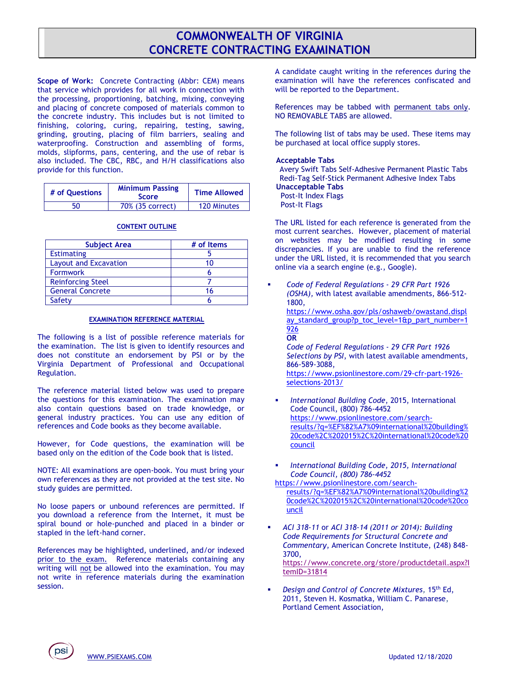## **COMMONWEALTH OF VIRGINIA CONCRETE CONTRACTING EXAMINATION**

**Scope of Work:** Concrete Contracting (Abbr: CEM) means that service which provides for all work in connection with the processing, proportioning, batching, mixing, conveying and placing of concrete composed of materials common to the concrete industry. This includes but is not limited to finishing, coloring, curing, repairing, testing, sawing, grinding, grouting, placing of film barriers, sealing and waterproofing. Construction and assembling of forms, molds, slipforms, pans, centering, and the use of rebar is also included. The CBC, RBC, and H/H classifications also provide for this function.

| # of Ouestions | <b>Minimum Passing</b><br><b>Score</b> | <b>Time Allowed</b> |
|----------------|----------------------------------------|---------------------|
| 50             | 70% (35 correct)                       | 120 Minutes         |

## **CONTENT OUTLINE**

| <b>Subject Area</b>          | # of Items |
|------------------------------|------------|
| <b>Estimating</b>            |            |
| <b>Layout and Excavation</b> |            |
| <b>Formwork</b>              |            |
| <b>Reinforcing Steel</b>     |            |
| <b>General Concrete</b>      |            |
| Safety                       |            |

## **EXAMINATION REFERENCE MATERIAL**

The following is a list of possible reference materials for the examination. The list is given to identify resources and does not constitute an endorsement by PSI or by the Virginia Department of Professional and Occupational Regulation.

The reference material listed below was used to prepare the questions for this examination. The examination may also contain questions based on trade knowledge, or general industry practices. You can use any edition of references and Code books as they become available.

However, for Code questions, the examination will be based only on the edition of the Code book that is listed.

NOTE: All examinations are open-book. You must bring your own references as they are not provided at the test site. No study guides are permitted.

No loose papers or unbound references are permitted. If you download a reference from the Internet, it must be spiral bound or hole-punched and placed in a binder or stapled in the left-hand corner.

References may be highlighted, underlined, and/or indexed prior to the exam. Reference materials containing any writing will not be allowed into the examination. You may not write in reference materials during the examination session.

A candidate caught writing in the references during the examination will have the references confiscated and will be reported to the Department.

References may be tabbed with permanent tabs only. NO REMOVABLE TABS are allowed.

The following list of tabs may be used. These items may be purchased at local office supply stores.

## **Acceptable Tabs**

 Avery Swift Tabs Self-Adhesive Permanent Plastic Tabs Redi-Tag Self-Stick Permanent Adhesive Index Tabs **Unacceptable Tabs** 

Post-It Index Flags

Post-It Flags

The URL listed for each reference is generated from the most current searches. However, placement of material on websites may be modified resulting in some discrepancies. If you are unable to find the reference under the URL listed, it is recommended that you search online via a search engine (e.g., Google).

▪ *Code of Federal Regulations - 29 CFR Part 1926 (OSHA),* with latest available amendments, 866-512- 1800, [https://www.osha.gov/pls/oshaweb/owastand.displ](https://www.osha.gov/pls/oshaweb/owastand.display_standard_group?p_toc_level=1&p_part_number=1926) [ay\\_standard\\_group?p\\_toc\\_level=1&p\\_part\\_number=1](https://www.osha.gov/pls/oshaweb/owastand.display_standard_group?p_toc_level=1&p_part_number=1926) [926](https://www.osha.gov/pls/oshaweb/owastand.display_standard_group?p_toc_level=1&p_part_number=1926) **OR** *Code of Federal Regulations - 29 CFR Part 1926 Selections by PSI*, with latest available amendments, 866-589-3088,

[https://www.psionlinestore.com/29-cfr-part-1926](https://www.psionlinestore.com/29-cfr-part-1926-selections-2013/) [selections-2013/](https://www.psionlinestore.com/29-cfr-part-1926-selections-2013/)

- *International Building Code*, 2015, International Code Council, (800) 786-4452 [https://www.psionlinestore.com/search](https://www.psionlinestore.com/search-results/?q=%EF%82%A7%09international%20building%20code%2C%202015%2C%20international%20code%20council)[results/?q=%EF%82%A7%09international%20building%](https://www.psionlinestore.com/search-results/?q=%EF%82%A7%09international%20building%20code%2C%202015%2C%20international%20code%20council) [20code%2C%202015%2C%20international%20code%20](https://www.psionlinestore.com/search-results/?q=%EF%82%A7%09international%20building%20code%2C%202015%2C%20international%20code%20council) [council](https://www.psionlinestore.com/search-results/?q=%EF%82%A7%09international%20building%20code%2C%202015%2C%20international%20code%20council)
- *International Building Code, 2015, International Code Council, (800) 786-4452*

[https://www.psionlinestore.com/search](https://www.psionlinestore.com/search-results/?q=%EF%82%A7%09international%20building%20code%2C%202015%2C%20international%20code%20council)[results/?q=%EF%82%A7%09international%20building%2](https://www.psionlinestore.com/search-results/?q=%EF%82%A7%09international%20building%20code%2C%202015%2C%20international%20code%20council) [0code%2C%202015%2C%20international%20code%20co](https://www.psionlinestore.com/search-results/?q=%EF%82%A7%09international%20building%20code%2C%202015%2C%20international%20code%20council) [uncil](https://www.psionlinestore.com/search-results/?q=%EF%82%A7%09international%20building%20code%2C%202015%2C%20international%20code%20council)

- *ACI 318-11* or *ACI 318-14 (2011 or 2014): Building Code Requirements for Structural Concrete and Commentary*, American Concrete Institute, (248) 848- 3700, [https://www.concrete.org/store/productdetail.aspx?I](https://www.concrete.org/store/productdetail.aspx?ItemID=31814) [temID=31814](https://www.concrete.org/store/productdetail.aspx?ItemID=31814)
- **Design and Control of Concrete Mixtures, 15th Ed,** 2011, Steven H. Kosmatka, William C. Panarese, Portland Cement Association,

psi )<br>[WWW.PSIEXAMS.COM](http://www.psiexams.com/) Updated 12/18/2020